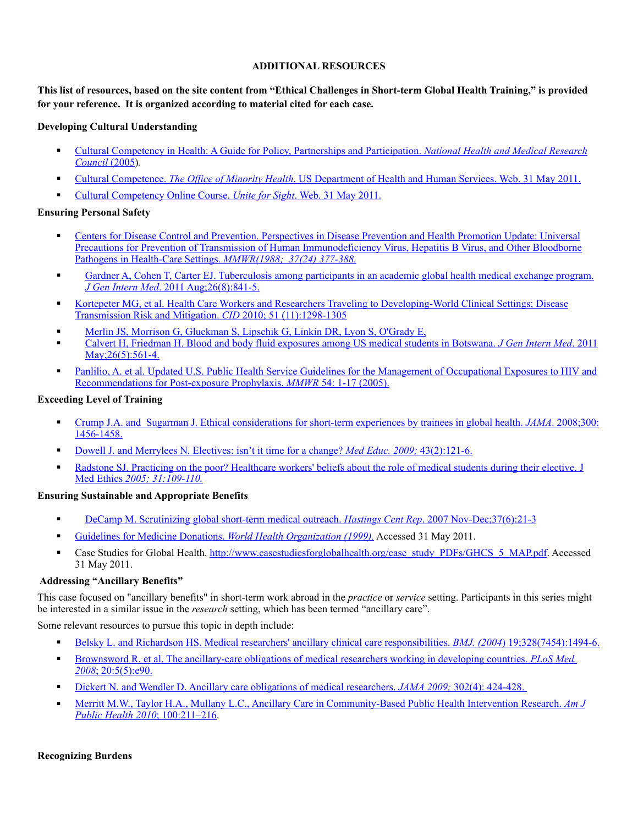## **ADDITIONAL RESOURCES**

**This list of resources, based on the site content from "Ethical Challenges in Short-term Global Health Training," is provided for your reference. It is organized according to material cited for each case.**

#### **Developing Cultural Understanding**

- [Cultural Competency in Health: A Guide for Policy, Partnerships and Participation.](http://www.nhmrc.gov.au/_files_nhmrc/file/publications/synopses/hp19.pdf) *National Health and Medical Research [Council](http://www.nhmrc.gov.au/_files_nhmrc/file/publications/synopses/hp19.pdf)* (2005)*.*
- Cultural Competence. *The Office of Minority Health*[. US Department of Health and Human Services. Web. 31 May 2011.](http://minorityhealth.hhs.gov/templates/browse.aspx?lvl=1&lvlID=3)
- [Cultural Competency Online Course.](http://www.uniteforsight.org/cultural-competency/) *Unite for Sight*. Web. 31 May 2011.

## **Ensuring Personal Safety**

- [Centers for Disease Control and Prevention. Perspectives in Disease Prevention and Health Promotion Update: Universal](http://www.cdc.gov/mmwr/preview/mmwrhtml/00000039.htm)  Precautions for Prevention of Transmission of Human Immunodeficiency Virus, Hepatitis B Virus, and Other Bloodborne [Pathogens in Health-Care Settings.](http://www.cdc.gov/mmwr/preview/mmwrhtml/00000039.htm) *MMWR(1988; 37(24) 377-388.*
- [Gardner A, Cohen T, Carter EJ. Tuberculosis among participants in an academic global health medical exchange program.](http://www.ncbi.nlm.nih.gov/pubmed/21359579)  *J Gen Intern Med*[. 2011 Aug;26\(8\):841-5.](http://www.ncbi.nlm.nih.gov/pubmed/21359579)
- [Kortepeter MG, et al. Health Care Workers and Researchers Traveling to Developing-World Clinical Settings; Disease](http://www.ncbi.nlm.nih.gov/pubmed/21039283)  [Transmission Risk and Mitigation.](http://www.ncbi.nlm.nih.gov/pubmed/21039283) *CID* 2010; 51 (11):1298-1305
- [Merlin JS, Morrison G, Gluckman S, Lipschik G, Linkin DR, Lyon S, O'Grady E,](http://www.ncbi.nlm.nih.gov/pubmed/21116867)
- [Calvert H, Friedman H. Blood and body fluid exposures among US medical students in Botswana.](http://www.ncbi.nlm.nih.gov/pubmed/21116867) *J Gen Intern Med*. 2011 May; 26(5): 561-4.
- [Panlilio, A. et al. Updated U.S. Public Health Service Guidelines for the Management of Occupational Exposures to HIV and](http://www.cdc.gov/mmwr/preview/mmwrhtml/rr5409a1.htm)  [Recommendations for Post-exposure Prophylaxis.](http://www.cdc.gov/mmwr/preview/mmwrhtml/rr5409a1.htm) *MMWR* 54: 1-17 (2005).

## **Exceeding Level of Training**

- [Crump J.A. and Sugarman J. Ethical considerations for short-term experiences by trainees in global health.](http://www.ncbi.nlm.nih.gov/pubmed/18812538) *JAMA*. 2008;300: [1456-1458.](http://www.ncbi.nlm.nih.gov/pubmed/18812538)
- [Dowell J. and Merrylees N. Electives: isn't it time for a change?](http://www.ncbi.nlm.nih.gov/pubmed/19161481) *Med Educ. 2009;* 43(2):121-6.
- [Radstone SJ. Practicing on the poor? Healthcare workers' beliefs about the role of medical students during their elective. J](http://jme.bmj.com/content/31/2/109.full)  Med Ethics *[2005; 31:109-110.](http://jme.bmj.com/content/31/2/109.full)*

#### **Ensurin[g Sustainable and Appropriat](http://jme.bmj.com/content/31/2/109.full)e Benefits**

- [DeCamp M. Scrutinizing global short-term medical outreach.](http://www.ncbi.nlm.nih.gov/pubmed/18179101) *Hastings Cent Rep*. 2007 Nov-Dec;37(6):21-3
- [Guidelines for Medicine Donations.](http://www.who.int/selection_medicines/emergencies/guidelines_medicine_donations/en/index.html) *World Health Organization (1999).* Accessed 31 May 2011.
- **Example 3** Case Studies for Global Health. [http://www.casestudiesforglobalhealth.org/case\\_study\\_PDFs/GHCS\\_5\\_MAP.pdf](http://www.casestudiesforglobalhealth.org/case_study_PDFs/GHCS_5_MAP.pdf). Accessed 31 May 2011.

#### **Addressing "Ancillary Benefits"**

This case focused on "ancillary benefits" in short-term work abroad in the *practice* or *service* setting. Participants in this series might be interested in a similar issue in the *research* setting, which has been termed "ancillary care".

Some relevant resources to pursue this topic in depth include:

- [Belsky L. and Richardson HS. Medical researchers' ancillary clinical care responsibilities.](http://www.ncbi.nlm.nih.gov/pubmed/15205296) *BMJ. (2004*) 19;328(7454):1494-6.
- [Brownsword R. et al. The ancillary-care obligations of medical researchers working in developing countries.](http://www.ncbi.nlm.nih.gov/pubmed/18494553) *PLoS Med. 2008*[; 20:5\(5\):e90.](http://www.ncbi.nlm.nih.gov/pubmed/18494553)
- [Dickert N. and Wendler D. Ancillary care obligations of medical researchers.](http://jama.ama-assn.org/content/302/4/424.full) *JAMA 2009;* 302(4): 424-428.
- [Merritt M.W., Taylor H.A., Mullany L.C., Ancillary Care in Community-Based Public Health Intervention Research.](http://www.ncbi.nlm.nih.gov/pubmed/20019298) *Am J [Public Health 2010](http://www.ncbi.nlm.nih.gov/pubmed/20019298)*; 100:211–216.

#### **Recognizing Burdens**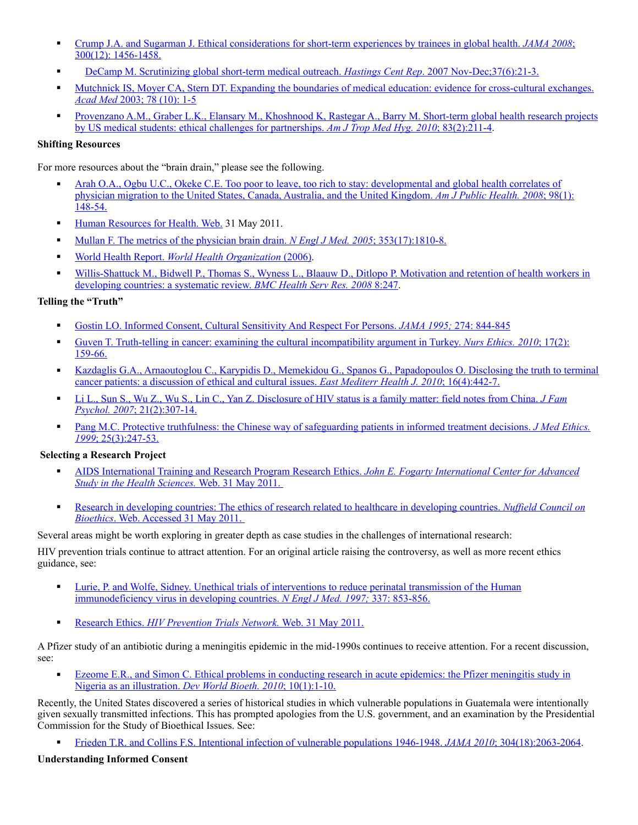- [Crump J.A. and Sugarman J. Ethical considerations for short-term experiences by trainees in global health.](http://www.ncbi.nlm.nih.gov/pubmed/18812538) *JAMA 2008*; [300\(12\): 1456-1458.](http://www.ncbi.nlm.nih.gov/pubmed/18812538)
- [DeCamp M. Scrutinizing global short-term medical outreach.](http://www.ncbi.nlm.nih.gov/pubmed/18179101) *Hastings Cent Rep.* 2007 Nov-Dec; 37(6):21-3.
- Mutchnick IS, Moyer CA, Stern DT. Expanding the boundaries of medical education: evidence for cross-cultural exchanges. *Acad Med* [2003; 78 \(10\): 1-5](http://www.ncbi.nlm.nih.gov/pubmed/14557080)
- [Provenzano A.M., Graber L.K., Elansary M., Khoshnood K, Rastegar A., Barry M. Short-term global health research projects](http://www.ncbi.nlm.nih.gov/pubmed/20682858)  [by US medical students: ethical challenges for partnerships.](http://www.ncbi.nlm.nih.gov/pubmed/20682858) *Am J Trop Med Hyg. 2010*; 83(2):211-4.

# **Shifting Resources**

For more resources about the "brain drain," please see the following.

- [Arah O.A., Ogbu U.C., Okeke C.E. Too poor to leave, too rich to stay: developmental and global health correlates of](http://www.ncbi.nlm.nih.gov/pmc/articles/PMC2156077/)  [physician migration to the United States, Canada, Australia, and the United Kingdom.](http://www.ncbi.nlm.nih.gov/pmc/articles/PMC2156077/) *Am J Public Health. 2008*; 98(1): [148-54.](http://www.ncbi.nlm.nih.gov/pmc/articles/PMC2156077/)
- [Human Resources for Health. Web.](http://www.who.int/hrh/en/) 31 May 2011.
- [Mullan F. The metrics of the physician brain drain.](http://www.ncbi.nlm.nih.gov/pubmed/16251537) *N Engl J Med. 2005*; 353(17):1810-8.
- World Health Report. *[World Health Organization](http://www.who.int/whr/2006/en/)* (2006).
- Willis-Shattuck M., Bidwell P., Thomas S., Wyness L., Blaauw D., Ditlopo P. Motivation and retention of health workers in [developing countries: a systematic review.](http://www.ncbi.nlm.nih.gov/pubmed/19055827) *BMC Health Serv Res. 2008* 8:247.

## **Telling t[he "Truth"](http://www.ncbi.nlm.nih.gov/pubmed/19055827)**

- [Gostin LO. Informed Consent, Cultural Sensitivity And Respect For Persons.](http://www.ncbi.nlm.nih.gov/pubmed/7650810) *JAMA 1995;* 274: 844-845
- [Guven T. Truth-telling in cancer: examining the cultural incompatibility argument in Turkey.](http://www.ncbi.nlm.nih.gov/pubmed/20185440) *Nurs Ethics. 2010*; 17(2): [159-66.](http://www.ncbi.nlm.nih.gov/pubmed/20185440)
- Kazdaglis G.A., Arnaoutoglou C., Karypidis D., Memekidou G., Spanos G., Papadopoulos O. Disclosing the truth to terminal [cancer patients: a discussion of ethical and cultural issues.](http://www.ncbi.nlm.nih.gov/pubmed/20795432) *East Mediterr Health J. 2010*; 16(4):442-7.
- [Li L., Sun S., Wu Z., Wu S., Lin C., Yan Z. Disclosure of HIV status is a family matter: field notes from China.](http://www.ncbi.nlm.nih.gov/pmc/articles/PMC2793327/) *J Fam Psychol. 2007*[; 21\(2\):307-14.](http://www.ncbi.nlm.nih.gov/pmc/articles/PMC2793327/)
- [Pang M.C. Protective truthfulness: the Chinese way of safeguarding patients in informed treatment decisions.](http://www.ncbi.nlm.nih.gov/pmc/articles/PMC479218/) *J Med Ethics. 1999*[; 25\(3\):247-53.](http://www.ncbi.nlm.nih.gov/pmc/articles/PMC479218/)

#### **Selecting a Research Project**

- [AIDS International Training and Research Program Research Ethics.](http://med.brown.edu/fogarty/index.htm) *John E. Fogarty International Center for Advanced [Study in the Health Sciences.](http://med.brown.edu/fogarty/index.htm)* Web. 31 May 2011.
- [Research in developing countries: The ethics of research related to healthcare in developing countries.](http://www.nuffieldbioethics.org/research-developing-countries) *Nuffield Council on Bioethics*[. Web. Accessed 31 May 2011.](http://www.nuffieldbioethics.org/research-developing-countries)

Several areas might be worth exploring in greater depth as case studies in the challenges of international research:

HIV prevention trials continue to attract attention. For an original article raising the controversy, as well as more recent ethics guidance, see:

- [Lurie, P. and Wolfe, Sidney. Unethical trials of interventions to reduce perinatal transmission of the Human](http://www.nejm.org/doi/full/10.1056/NEJM199709183371212)  [immunodeficiency virus in developing countries.](http://www.nejm.org/doi/full/10.1056/NEJM199709183371212) *N Engl J Med. 1997;* 337: 853-856.
- Research Ethics. *[HIV Prevention Trials Network.](http://www.hptn.org/ResearchEthics/HPTN_Ethics_Guidance.htm)* Web. 31 May 2011.

A Pfizer study of an antibiotic during a meningitis epidemic in the mid-1990s continues to receive attention. For a recent discussion, see:

 [Ezeome E.R., and Simon C. Ethical problems in conducting research in acute epidemics: the Pfizer meningitis study in](http://www.ncbi.nlm.nih.gov/pubmed/18665846)  [Nigeria as an illustration.](http://www.ncbi.nlm.nih.gov/pubmed/18665846) *Dev World Bioeth. 2010*; 10(1):1-10.

Recently, the United States discovered a series of historical studies in which vulnerable populations in Guatemala were intentionally given sexually transmitted infections. This has prompted apologies from the U.S. government, and an examination by the Presidential Commission for the Study of Bioethical Issues. See:

[Frieden T.R. and Collins F.S. Intentional infection of vulnerable populations 1946-1948.](http://jama.ama-assn.org/content/304/18/2063.extract?papetoc=) *JAMA 2010*; 304(18):2063-2064.

#### **Understanding Informed Consent**